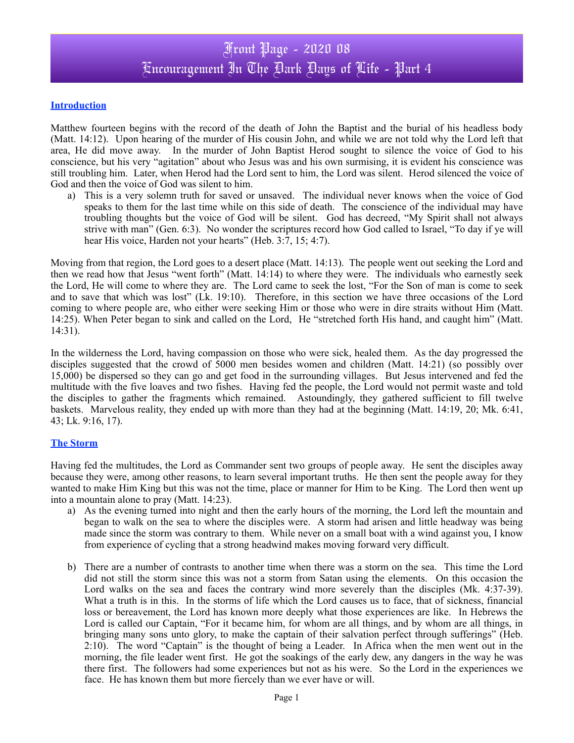# Front Page - 2020 08 Encouragement In The Dark Days of Life - Part 4

### **Introduction**

Matthew fourteen begins with the record of the death of John the Baptist and the burial of his headless body (Matt. 14:12). Upon hearing of the murder of His cousin John, and while we are not told why the Lord left that area, He did move away. In the murder of John Baptist Herod sought to silence the voice of God to his conscience, but his very "agitation" about who Jesus was and his own surmising, it is evident his conscience was still troubling him. Later, when Herod had the Lord sent to him, the Lord was silent. Herod silenced the voice of God and then the voice of God was silent to him.

a) This is a very solemn truth for saved or unsaved. The individual never knows when the voice of God speaks to them for the last time while on this side of death. The conscience of the individual may have troubling thoughts but the voice of God will be silent. God has decreed, "My Spirit shall not always strive with man" (Gen. 6:3). No wonder the scriptures record how God called to Israel, "To day if ye will hear His voice, Harden not your hearts" (Heb. 3:7, 15; 4:7).

Moving from that region, the Lord goes to a desert place (Matt. 14:13). The people went out seeking the Lord and then we read how that Jesus "went forth" (Matt. 14:14) to where they were. The individuals who earnestly seek the Lord, He will come to where they are. The Lord came to seek the lost, "For the Son of man is come to seek and to save that which was lost" (Lk. 19:10). Therefore, in this section we have three occasions of the Lord coming to where people are, who either were seeking Him or those who were in dire straits without Him (Matt. 14:25). When Peter began to sink and called on the Lord, He "stretched forth His hand, and caught him" (Matt. 14:31).

In the wilderness the Lord, having compassion on those who were sick, healed them. As the day progressed the disciples suggested that the crowd of 5000 men besides women and children (Matt. 14:21) (so possibly over 15,000) be dispersed so they can go and get food in the surrounding villages. But Jesus intervened and fed the multitude with the five loaves and two fishes. Having fed the people, the Lord would not permit waste and told the disciples to gather the fragments which remained. Astoundingly, they gathered sufficient to fill twelve baskets. Marvelous reality, they ended up with more than they had at the beginning (Matt. 14:19, 20; Mk. 6:41, 43; Lk. 9:16, 17).

#### **The Storm**

Having fed the multitudes, the Lord as Commander sent two groups of people away. He sent the disciples away because they were, among other reasons, to learn several important truths. He then sent the people away for they wanted to make Him King but this was not the time, place or manner for Him to be King. The Lord then went up into a mountain alone to pray (Matt. 14:23).

- a) As the evening turned into night and then the early hours of the morning, the Lord left the mountain and began to walk on the sea to where the disciples were. A storm had arisen and little headway was being made since the storm was contrary to them. While never on a small boat with a wind against you, I know from experience of cycling that a strong headwind makes moving forward very difficult.
- b) There are a number of contrasts to another time when there was a storm on the sea. This time the Lord did not still the storm since this was not a storm from Satan using the elements. On this occasion the Lord walks on the sea and faces the contrary wind more severely than the disciples (Mk. 4:37-39). What a truth is in this. In the storms of life which the Lord causes us to face, that of sickness, financial loss or bereavement, the Lord has known more deeply what those experiences are like. In Hebrews the Lord is called our Captain, "For it became him, for whom are all things, and by whom are all things, in bringing many sons unto glory, to make the captain of their salvation perfect through sufferings" (Heb. 2:10). The word "Captain" is the thought of being a Leader. In Africa when the men went out in the morning, the file leader went first. He got the soakings of the early dew, any dangers in the way he was there first. The followers had some experiences but not as his were. So the Lord in the experiences we face. He has known them but more fiercely than we ever have or will.